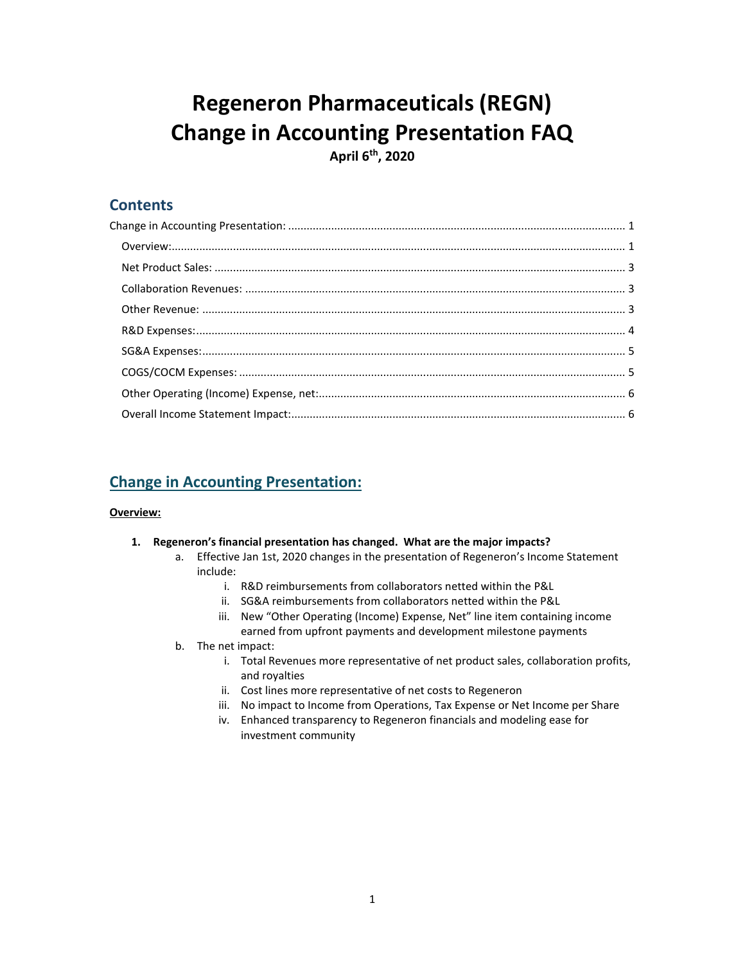# **Regeneron Pharmaceuticals (REGN) Change in Accounting Presentation FAQ**

**April 6 th , 2020**

# **Contents**

# <span id="page-0-0"></span>**Change in Accounting Presentation:**

# <span id="page-0-1"></span>**Overview:**

- **1. Regeneron's financial presentation has changed. What are the major impacts?** 
	- a. Effective Jan 1st, 2020 changes in the presentation of Regeneron's Income Statement include:
		- i. R&D reimbursements from collaborators netted within the P&L
		- ii. SG&A reimbursements from collaborators netted within the P&L
		- iii. New "Other Operating (Income) Expense, Net" line item containing income earned from upfront payments and development milestone payments
	- b. The net impact:
		- i. Total Revenues more representative of net product sales, collaboration profits, and royalties
		- ii. Cost lines more representative of net costs to Regeneron
		- iii. No impact to Income from Operations, Tax Expense or Net Income per Share
		- iv. Enhanced transparency to Regeneron financials and modeling ease for investment community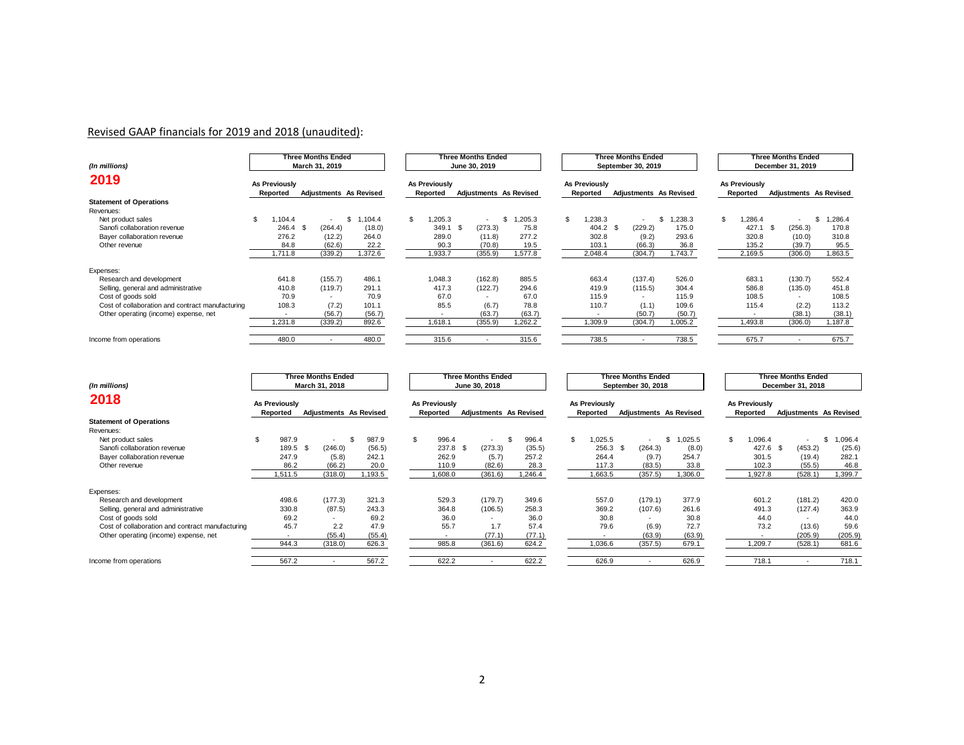# Revised GAAP financials for 2019 and 2018 (unaudited):

| (In millions)                                    |                                  | Three Months Ended<br>March 31, 2019 |             |                           | Three Months Ended<br>June 30, 2019 |         |                                  | Three Months Ended<br>September 30, 2019 |               | Three Months Ended<br>December 31, 2019 |                                  |                               |              |
|--------------------------------------------------|----------------------------------|--------------------------------------|-------------|---------------------------|-------------------------------------|---------|----------------------------------|------------------------------------------|---------------|-----------------------------------------|----------------------------------|-------------------------------|--------------|
| 2019                                             | <b>As Previously</b><br>Reported | <b>Adjustments As Revised</b>        |             | As Previously<br>Reported | <b>Adjustments</b> As Revised       |         | <b>As Previously</b><br>Reported | Adjustments As Revised                   |               |                                         | <b>As Previously</b><br>Reported | <b>Adjustments As Revised</b> |              |
| <b>Statement of Operations</b>                   |                                  |                                      |             |                           |                                     |         |                                  |                                          |               |                                         |                                  |                               |              |
| Revenues:                                        |                                  |                                      |             |                           |                                     |         |                                  |                                          |               |                                         |                                  |                               |              |
| Net product sales                                | \$.<br>104.4                     | $\overline{\phantom{a}}$             | .104.4<br>ፍ | $\mathcal{F}$<br>,205.3   | $\overline{a}$                      | 205.3   | \$.<br>,238.3                    | $\overline{\phantom{a}}$                 | ,238.3<br>\$. | \$                                      | 1,286.4                          | $\overline{a}$                | ,286.4<br>\$ |
| Sanofi collaboration revenue                     | 246.4                            | (264.4)<br>- \$                      | (18.0)      | 349.1                     | - \$<br>(273.3)                     | 75.8    | $404.2$ \$                       | (229.2)                                  | 175.0         |                                         | 427.1                            | (256.3)<br>- \$               | 170.8        |
| Bayer collaboration revenue                      | 276.2                            | (12.2)                               | 264.0       | 289.0                     | (11.8)                              | 277.2   | 302.8                            | (9.2)                                    | 293.6         |                                         | 320.8                            | (10.0)                        | 310.8        |
| Other revenue                                    | 84.8                             | (62.6)                               | 22.2        | 90.3                      | (70.8)                              | 19.5    | 103.1                            | (66.3)                                   | 36.8          |                                         | 135.2                            | (39.7)                        | 95.5         |
|                                                  | 1,711.8                          | (339.2)                              | 1,372.6     | 1,933.7                   | (355.9)                             | 1,577.8 | 2,048.4                          | (304.7)                                  | 1,743.7       |                                         | 2,169.5                          | (306.0)                       | 1,863.5      |
| Expenses:                                        |                                  |                                      |             |                           |                                     |         |                                  |                                          |               |                                         |                                  |                               |              |
| Research and development                         | 641.8                            | (155.7)                              | 486.1       | 1.048.3                   | (162.8)                             | 885.5   | 663.4                            | (137.4)                                  | 526.0         |                                         | 683.1                            | (130.7)                       | 552.4        |
| Selling, general and administrative              | 410.8                            | (119.7)                              | 291.1       | 417.3                     | (122.7)                             | 294.6   | 419.9                            | (115.5)                                  | 304.4         |                                         | 586.8                            | (135.0)                       | 451.8        |
| Cost of goods sold                               | 70.9                             | $\overline{a}$                       | 70.9        | 67.0                      | $\overline{\phantom{a}}$            | 67.0    | 115.9                            | $\sim$                                   | 115.9         |                                         | 108.5                            | $\sim$                        | 108.5        |
| Cost of collaboration and contract manufacturing | 108.3                            | (7.2)                                | 101.1       | 85.5                      | (6.7)                               | 78.8    | 110.7                            | (1.1)                                    | 109.6         |                                         | 115.4                            | (2.2)                         | 113.2        |
| Other operating (income) expense, net            |                                  | (56.7)                               | (56.7)      |                           | (63.7)                              | (63.7)  |                                  | (50.7)                                   | (50.7)        |                                         |                                  | (38.1)                        | (38.1)       |
|                                                  | 1,231.8                          | (339.2)                              | 892.6       | 1.618.1                   | (355.9)                             | 1,262.2 | 1,309.9                          | (304.7)                                  | 1,005.2       |                                         | 1,493.8                          | (306.0)                       | 1,187.8      |
| Income from operations                           | 480.0                            | $\overline{\phantom{a}}$             | 480.0       | 315.6                     |                                     | 315.6   | 738.5                            | $\overline{\phantom{a}}$                 | 738.5         |                                         | 675.7                            | $\overline{\phantom{a}}$      | 675.7        |

| (In millions)                                    | Three Months Ended<br>March 31, 2018 |                               |         | Three Months Ended<br>June 30, 2018 |                               |  |        | Three Months Ended<br>September 30, 2018 |          |                               |                          |               | Three Months Ended<br>December 31, 2018 |                          |                               |                |
|--------------------------------------------------|--------------------------------------|-------------------------------|---------|-------------------------------------|-------------------------------|--|--------|------------------------------------------|----------|-------------------------------|--------------------------|---------------|-----------------------------------------|--------------------------|-------------------------------|----------------|
| 2018                                             | As Previously<br>Reported            | <b>Adjustments</b> As Revised |         | As Previously<br>Reported           | <b>Adjustments</b> As Revised |  |        | <b>As Previously</b><br>Reported         |          | <b>Adjustments</b> As Revised |                          |               | As Previously<br>Reported               |                          | <b>Adjustments As Revised</b> |                |
| <b>Statement of Operations</b>                   |                                      |                               |         |                                     |                               |  |        |                                          |          |                               |                          |               |                                         |                          |                               |                |
| Revenues:                                        |                                      |                               |         |                                     |                               |  |        |                                          |          |                               |                          |               |                                         |                          |                               |                |
| Net product sales                                | 987.9                                |                               | 987.9   | 996.4                               | $\overline{a}$                |  | 996.4  |                                          | 1,025.5  |                               | $\overline{\phantom{a}}$ | ,025.5<br>\$. | £.                                      | 1,096.4                  | $\overline{\phantom{0}}$      | 1,096.4<br>\$. |
| Sanofi collaboration revenue                     | 189.5                                | (246.0)<br>\$                 | (56.5)  | 237.8                               | (273.3)<br>- \$               |  | (35.5) |                                          | 256.3 \$ |                               | (264.3)                  | (8.0)         |                                         | 427.6                    | (453.2)                       | (25.6)         |
| Bayer collaboration revenue                      | 247.9                                | (5.8)                         | 242.1   | 262.9                               | (5.7)                         |  | 257.2  |                                          | 264.4    |                               | (9.7)                    | 254.7         |                                         | 301.5                    | (19.4)                        | 282.1          |
| Other revenue                                    | 86.2                                 | (66.2)                        | 20.0    | 110.9                               | (82.6)                        |  | 28.3   |                                          | 117.3    |                               | (83.5)                   | 33.8          |                                         | 102.3                    | (55.5)                        | 46.8           |
|                                                  | 1,511.5                              | (318.0)                       | 1,193.5 | 1,608.0                             | (361.6)                       |  | ,246.4 |                                          | 1,663.5  |                               | (357.5)                  | 1,306.0       |                                         | 1,927.8                  | (528.1)                       | ,399.7         |
| Expenses:                                        |                                      |                               |         |                                     |                               |  |        |                                          |          |                               |                          |               |                                         |                          |                               |                |
| Research and development                         | 498.6                                | (177.3)                       | 321.3   | 529.3                               | (179.7)                       |  | 349.6  |                                          | 557.0    |                               | (179.1)                  | 377.9         |                                         | 601.2                    | (181.2)                       | 420.0          |
| Selling, general and administrative              | 330.8                                | (87.5)                        | 243.3   | 364.8                               | (106.5)                       |  | 258.3  |                                          | 369.2    |                               | (107.6)                  | 261.6         |                                         | 491.3                    | (127.4)                       | 363.9          |
| Cost of goods sold                               | 69.2                                 |                               | 69.2    | 36.0                                | $\overline{\phantom{a}}$      |  | 36.0   |                                          | 30.8     |                               | $\overline{\phantom{a}}$ | 30.8          |                                         | 44.0                     | $\overline{a}$                | 44.0           |
| Cost of collaboration and contract manufacturing | 45.7                                 | 2.2                           | 47.9    | 55.7                                | 1.7                           |  | 57.4   |                                          | 79.6     |                               | (6.9)                    | 72.7          |                                         | 73.2                     | (13.6)                        | 59.6           |
| Other operating (income) expense, net            | $\overline{\phantom{a}}$             | (55.4)                        | (55.4)  |                                     | (77.1)                        |  | (77.1) |                                          |          |                               | (63.9)                   | (63.9)        |                                         | $\overline{\phantom{a}}$ | (205.9)                       | (205.9)        |
|                                                  | 944.3                                | (318.0)                       | 626.3   | 985.8                               | (361.6)                       |  | 624.2  |                                          | 1,036.6  |                               | (357.5)                  | 679.1         |                                         | 1,209.7                  | (528.1)                       | 681.6          |
| Income from operations                           | 567.2                                | $\overline{\phantom{a}}$      | 567.2   | 622.2                               | $\overline{\phantom{a}}$      |  | 622.2  |                                          | 626.9    |                               | $\overline{a}$           | 626.9         |                                         | 718.1                    | $\overline{a}$                | 718.1          |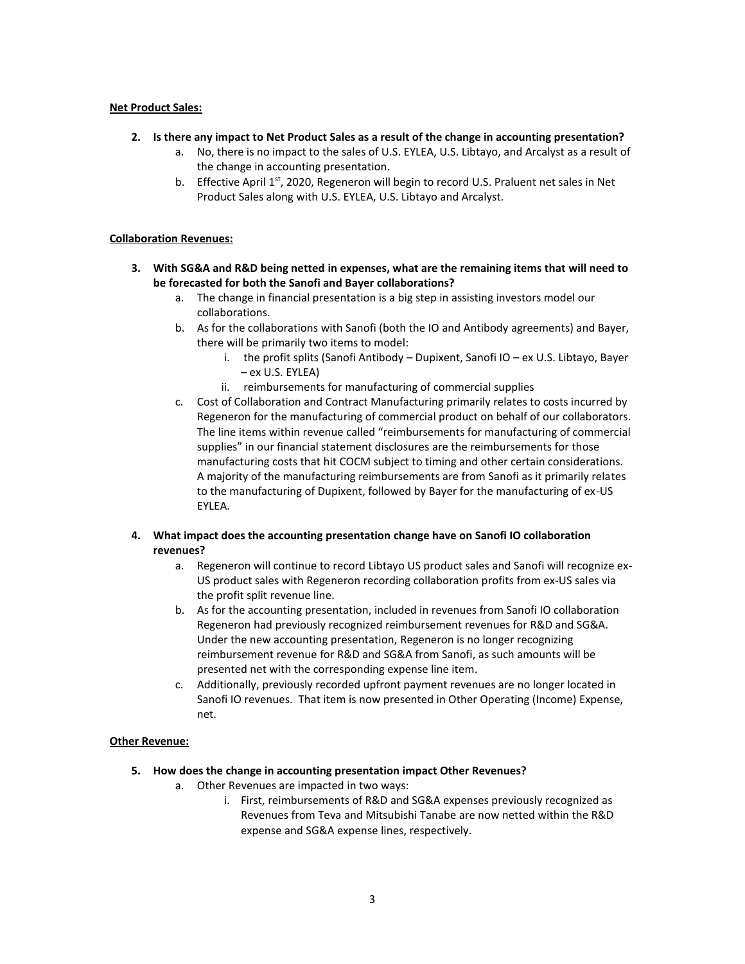#### <span id="page-2-0"></span>**Net Product Sales:**

- **2. Is there any impact to Net Product Sales as a result of the change in accounting presentation?**
	- a. No, there is no impact to the sales of U.S. EYLEA, U.S. Libtayo, and Arcalyst as a result of the change in accounting presentation.
	- b. Effective April 1<sup>st</sup>, 2020, Regeneron will begin to record U.S. Praluent net sales in Net Product Sales along with U.S. EYLEA, U.S. Libtayo and Arcalyst.

#### <span id="page-2-1"></span>**Collaboration Revenues:**

- **3. With SG&A and R&D being netted in expenses, what are the remaining items that will need to be forecasted for both the Sanofi and Bayer collaborations?**
	- a. The change in financial presentation is a big step in assisting investors model our collaborations.
	- b. As for the collaborations with Sanofi (both the IO and Antibody agreements) and Bayer, there will be primarily two items to model:
		- i. the profit splits (Sanofi Antibody Dupixent, Sanofi IO ex U.S. Libtayo, Bayer – ex U.S. EYLEA)
		- ii. reimbursements for manufacturing of commercial supplies
	- c. Cost of Collaboration and Contract Manufacturing primarily relates to costs incurred by Regeneron for the manufacturing of commercial product on behalf of our collaborators. The line items within revenue called "reimbursements for manufacturing of commercial supplies" in our financial statement disclosures are the reimbursements for those manufacturing costs that hit COCM subject to timing and other certain considerations. A majority of the manufacturing reimbursements are from Sanofi as it primarily relates to the manufacturing of Dupixent, followed by Bayer for the manufacturing of ex-US EYLEA.

#### **4. What impact does the accounting presentation change have on Sanofi IO collaboration revenues?**

- a. Regeneron will continue to record Libtayo US product sales and Sanofi will recognize ex-US product sales with Regeneron recording collaboration profits from ex-US sales via the profit split revenue line.
- b. As for the accounting presentation, included in revenues from Sanofi IO collaboration Regeneron had previously recognized reimbursement revenues for R&D and SG&A. Under the new accounting presentation, Regeneron is no longer recognizing reimbursement revenue for R&D and SG&A from Sanofi, as such amounts will be presented net with the corresponding expense line item.
- c. Additionally, previously recorded upfront payment revenues are no longer located in Sanofi IO revenues. That item is now presented in Other Operating (Income) Expense, net.

#### <span id="page-2-2"></span>**Other Revenue:**

- **5. How does the change in accounting presentation impact Other Revenues?**
	- a. Other Revenues are impacted in two ways:
		- i. First, reimbursements of R&D and SG&A expenses previously recognized as Revenues from Teva and Mitsubishi Tanabe are now netted within the R&D expense and SG&A expense lines, respectively.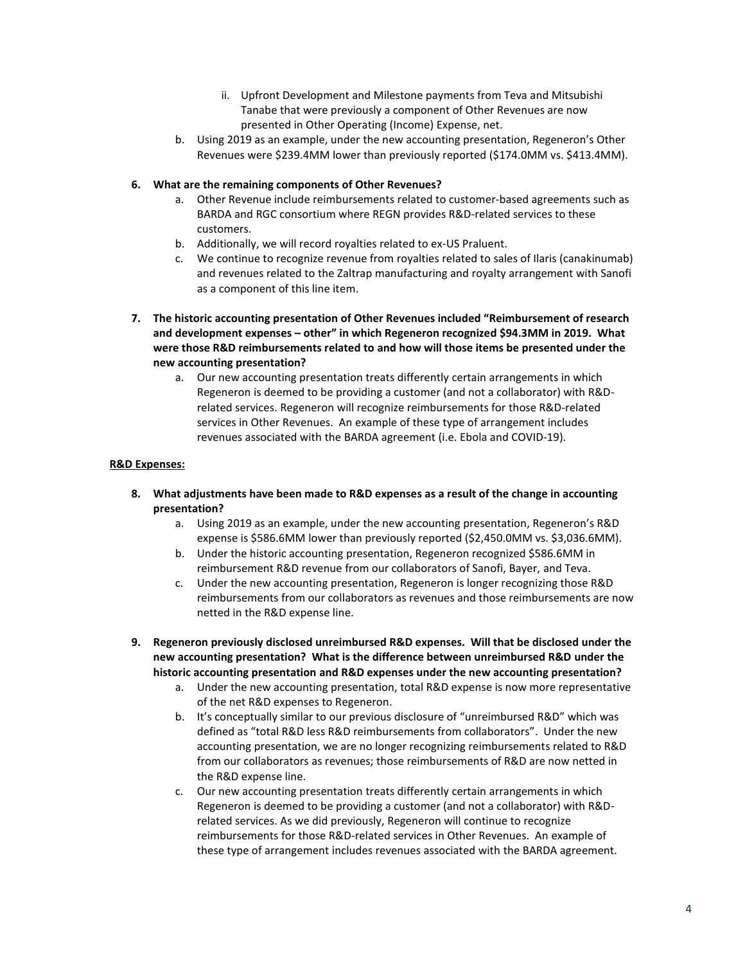- ii. Upfront Development and Milestone payments from Teva and Mitsubishi Tanabe that were previously a component of Other Revenues are now presented in Other Operating (Income) Expense, net.
- b. Using 2019 as an example, under the new accounting presentation, Regeneron's Other Revenues were \$239.4MM lower than previously reported (\$174.0MM vs. \$413.4MM).

#### **6. What are the remaining components of Other Revenues?**

- a. Other Revenue include reimbursements related to customer-based agreements such as BARDA and RGC consortium where REGN provides R&D-related services to these customers.
- b. Additionally, we will record royalties related to ex-US Praluent.
- c. We continue to recognize revenue from royalties related to sales of Ilaris (canakinumab) and revenues related to the Zaltrap manufacturing and royalty arrangement with Sanofi as a component of this line item.
- **7. The historic accounting presentation of Other Revenues included "Reimbursement of research and development expenses – other" in which Regeneron recognized \$94.3MM in 2019. What were those R&D reimbursements related to and how will those items be presented under the new accounting presentation?**
	- a. Our new accounting presentation treats differently certain arrangements in which Regeneron is deemed to be providing a customer (and not a collaborator) with R&Drelated services. Regeneron will recognize reimbursements for those R&D-related services in Other Revenues. An example of these type of arrangement includes revenues associated with the BARDA agreement (i.e. Ebola and COVID-19).

#### <span id="page-3-0"></span>**R&D Expenses:**

- **8. What adjustments have been made to R&D expenses as a result of the change in accounting presentation?**
	- a. Using 2019 as an example, under the new accounting presentation, Regeneron's R&D expense is \$586.6MM lower than previously reported (\$2,450.0MM vs. \$3,036.6MM).
	- b. Under the historic accounting presentation, Regeneron recognized \$586.6MM in reimbursement R&D revenue from our collaborators of Sanofi, Bayer, and Teva.
	- c. Under the new accounting presentation, Regeneron is longer recognizing those R&D reimbursements from our collaborators as revenues and those reimbursements are now netted in the R&D expense line.
- **9. Regeneron previously disclosed unreimbursed R&D expenses. Will that be disclosed under the new accounting presentation? What is the difference between unreimbursed R&D under the historic accounting presentation and R&D expenses under the new accounting presentation?**
	- a. Under the new accounting presentation, total R&D expense is now more representative of the net R&D expenses to Regeneron.
	- b. It's conceptually similar to our previous disclosure of "unreimbursed R&D" which was defined as "total R&D less R&D reimbursements from collaborators". Under the new accounting presentation, we are no longer recognizing reimbursements related to R&D from our collaborators as revenues; those reimbursements of R&D are now netted in the R&D expense line.
	- c. Our new accounting presentation treats differently certain arrangements in which Regeneron is deemed to be providing a customer (and not a collaborator) with R&Drelated services. As we did previously, Regeneron will continue to recognize reimbursements for those R&D-related services in Other Revenues. An example of these type of arrangement includes revenues associated with the BARDA agreement.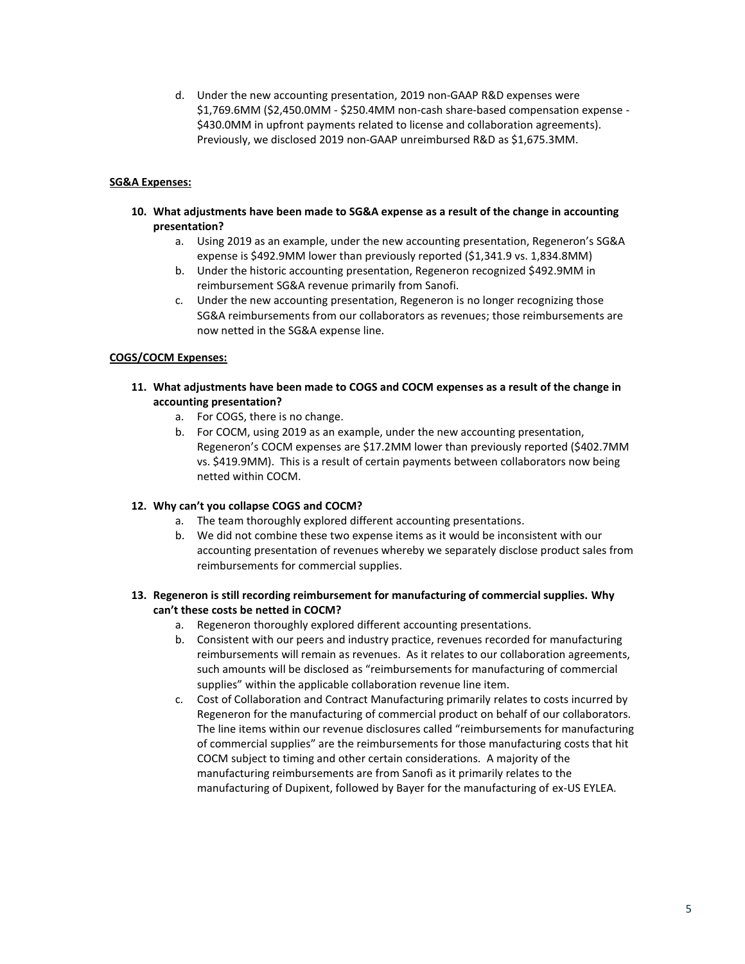d. Under the new accounting presentation, 2019 non-GAAP R&D expenses were \$1,769.6MM (\$2,450.0MM - \$250.4MM non-cash share-based compensation expense - \$430.0MM in upfront payments related to license and collaboration agreements). Previously, we disclosed 2019 non-GAAP unreimbursed R&D as \$1,675.3MM.

### <span id="page-4-0"></span>**SG&A Expenses:**

- **10. What adjustments have been made to SG&A expense as a result of the change in accounting presentation?**
	- a. Using 2019 as an example, under the new accounting presentation, Regeneron's SG&A expense is \$492.9MM lower than previously reported (\$1,341.9 vs. 1,834.8MM)
	- b. Under the historic accounting presentation, Regeneron recognized \$492.9MM in reimbursement SG&A revenue primarily from Sanofi.
	- c. Under the new accounting presentation, Regeneron is no longer recognizing those SG&A reimbursements from our collaborators as revenues; those reimbursements are now netted in the SG&A expense line.

# <span id="page-4-1"></span>**COGS/COCM Expenses:**

- **11. What adjustments have been made to COGS and COCM expenses as a result of the change in accounting presentation?**
	- a. For COGS, there is no change.
	- b. For COCM, using 2019 as an example, under the new accounting presentation, Regeneron's COCM expenses are \$17.2MM lower than previously reported (\$402.7MM vs. \$419.9MM). This is a result of certain payments between collaborators now being netted within COCM.

#### **12. Why can't you collapse COGS and COCM?**

- a. The team thoroughly explored different accounting presentations.
- b. We did not combine these two expense items as it would be inconsistent with our accounting presentation of revenues whereby we separately disclose product sales from reimbursements for commercial supplies.

# **13. Regeneron is still recording reimbursement for manufacturing of commercial supplies. Why can't these costs be netted in COCM?**

- a. Regeneron thoroughly explored different accounting presentations.
- b. Consistent with our peers and industry practice, revenues recorded for manufacturing reimbursements will remain as revenues. As it relates to our collaboration agreements, such amounts will be disclosed as "reimbursements for manufacturing of commercial supplies" within the applicable collaboration revenue line item.
- c. Cost of Collaboration and Contract Manufacturing primarily relates to costs incurred by Regeneron for the manufacturing of commercial product on behalf of our collaborators. The line items within our revenue disclosures called "reimbursements for manufacturing of commercial supplies" are the reimbursements for those manufacturing costs that hit COCM subject to timing and other certain considerations. A majority of the manufacturing reimbursements are from Sanofi as it primarily relates to the manufacturing of Dupixent, followed by Bayer for the manufacturing of ex-US EYLEA.